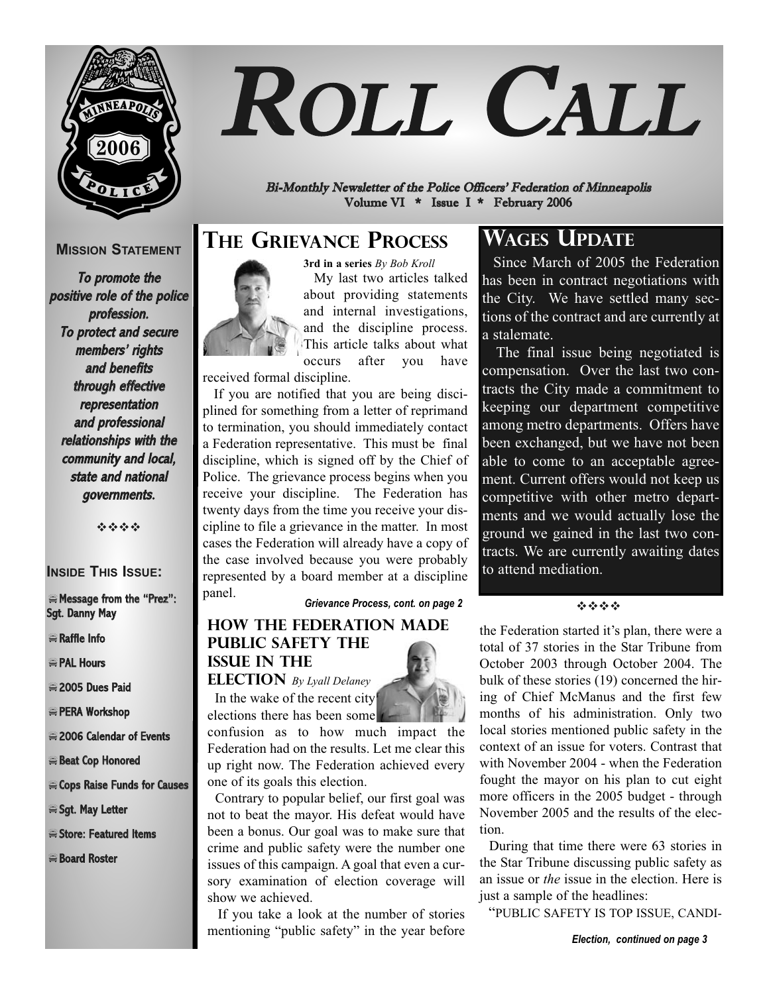

# ROLL CALL

Bi-Monthly Newsletter of the Police Officers' Federation of Minneapolis Volume VI \* Issue I \* February 2006

## **MISSION STATEMENT**

To promote the positive role of the police profession. To protect and secure members' rights and benefits through effective representation and professional relationships with the community and local, state and national governments.

----

### **INSIDE THIS ISSUE:**

#### -Message from the "Prez": Sgt. Danny May

- -Raffle Info
- **PAL Hours**
- 2005 Dues Paid
- -PERA Workshop
- 2006 Calendar of Events
- Beat Cop Honored
- -Cops Raise Funds for Causes
- Sgt. May Letter
- Store: Featured Items
- -Board Roster

## **THE GRIEVANCE PROCESS**



**3rd in a series** *By Bob Kroll*  My last two articles talked about providing statements and internal investigations, and the discipline process. This article talks about what occurs after you have

received formal discipline.

If you are notified that you are being disciplined for something from a letter of reprimand to termination, you should immediately contact a Federation representative. This must be final discipline, which is signed off by the Chief of Police. The grievance process begins when you receive your discipline. The Federation has twenty days from the time you receive your discipline to file a grievance in the matter. In most cases the Federation will already have a copy of the case involved because you were probably represented by a board member at a discipline

panel. *Grievance Process, cont. on page 2*

## **How the Federation Made Public Safety the Issue in the**

**Election** *By Lyall Delaney* In the wake of the recent city elections there has been some



confusion as to how much impact the Federation had on the results. Let me clear this up right now. The Federation achieved every one of its goals this election.

Contrary to popular belief, our first goal was not to beat the mayor. His defeat would have been a bonus. Our goal was to make sure that crime and public safety were the number one issues of this campaign. A goal that even a cursory examination of election coverage will show we achieved.

If you take a look at the number of stories mentioning "public safety" in the year before

## **WAGES UPDATE**

Since March of 2005 the Federation has been in contract negotiations with the City. We have settled many sections of the contract and are currently at a stalemate.

The final issue being negotiated is compensation. Over the last two contracts the City made a commitment to keeping our department competitive among metro departments. Offers have been exchanged, but we have not been able to come to an acceptable agreement. Current offers would not keep us competitive with other metro departments and we would actually lose the ground we gained in the last two contracts. We are currently awaiting dates to attend mediation.

----

the Federation started it's plan, there were a total of 37 stories in the Star Tribune from October 2003 through October 2004. The bulk of these stories (19) concerned the hiring of Chief McManus and the first few months of his administration. Only two local stories mentioned public safety in the context of an issue for voters. Contrast that with November 2004 - when the Federation fought the mayor on his plan to cut eight more officers in the 2005 budget - through November 2005 and the results of the election.

During that time there were 63 stories in the Star Tribune discussing public safety as an issue or *the* issue in the election. Here is just a sample of the headlines:

"PUBLIC SAFETY IS TOP ISSUE, CANDI-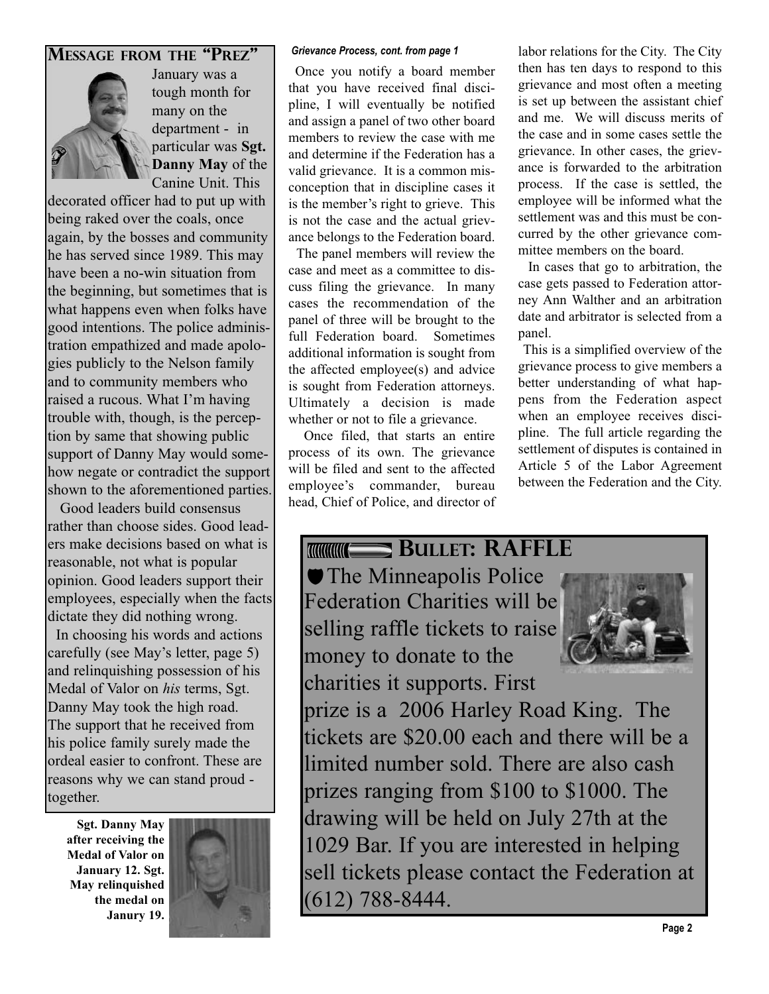## **MESSAGE FROM THE "PREZ"** Grievance Process, cont. from page 1



January was a tough month for many on the department - in particular was **Sgt. Danny May** of the Canine Unit. This

decorated officer had to put up with being raked over the coals, once again, by the bosses and community he has served since 1989. This may have been a no-win situation from the beginning, but sometimes that is what happens even when folks have good intentions. The police administration empathized and made apologies publicly to the Nelson family and to community members who raised a rucous. What I'm having trouble with, though, is the perception by same that showing public support of Danny May would somehow negate or contradict the support shown to the aforementioned parties.

Good leaders build consensus rather than choose sides. Good leadlers make decisions based on what is reasonable, not what is popular opinion. Good leaders support their employees, especially when the facts dictate they did nothing wrong. In choosing his words and actions

carefully (see May's letter, page 5) and relinquishing possession of his Medal of Valor on *his* terms, Sgt. Danny May took the high road. The support that he received from his police family surely made the ordeal easier to confront. These are reasons why we can stand proud together.

**Sgt. Danny May after receiving the Medal of Valor on January 12. Sgt. May relinquished the medal on Janury 19.** 



Once you notify a board member that you have received final discipline, I will eventually be notified and assign a panel of two other board members to review the case with me and determine if the Federation has a valid grievance. It is a common misconception that in discipline cases it is the member's right to grieve. This is not the case and the actual grievance belongs to the Federation board.

The panel members will review the case and meet as a committee to discuss filing the grievance. In many cases the recommendation of the panel of three will be brought to the full Federation board. Sometimes additional information is sought from the affected employee(s) and advice is sought from Federation attorneys. Ultimately a decision is made whether or not to file a grievance.

Once filed, that starts an entire process of its own. The grievance will be filed and sent to the affected employee's commander, bureau head, Chief of Police, and director of labor relations for the City. The City then has ten days to respond to this grievance and most often a meeting is set up between the assistant chief and me. We will discuss merits of the case and in some cases settle the grievance. In other cases, the grievance is forwarded to the arbitration process. If the case is settled, the employee will be informed what the settlement was and this must be concurred by the other grievance committee members on the board.

In cases that go to arbitration, the case gets passed to Federation attorney Ann Walther and an arbitration date and arbitrator is selected from a panel.

This is a simplified overview of the grievance process to give members a better understanding of what happens from the Federation aspect when an employee receives discipline. The full article regarding the settlement of disputes is contained in Article 5 of the Labor Agreement between the Federation and the City.

## **BULLET: RAFFLE**

**The Minneapolis Police** Federation Charities will be selling raffle tickets to raise money to donate to the charities it supports. First



prize is a 2006 Harley Road King. The tickets are \$20.00 each and there will be a limited number sold. There are also cash prizes ranging from \$100 to \$1000. The drawing will be held on July 27th at the 1029 Bar. If you are interested in helping sell tickets please contact the Federation at (612) 788-8444.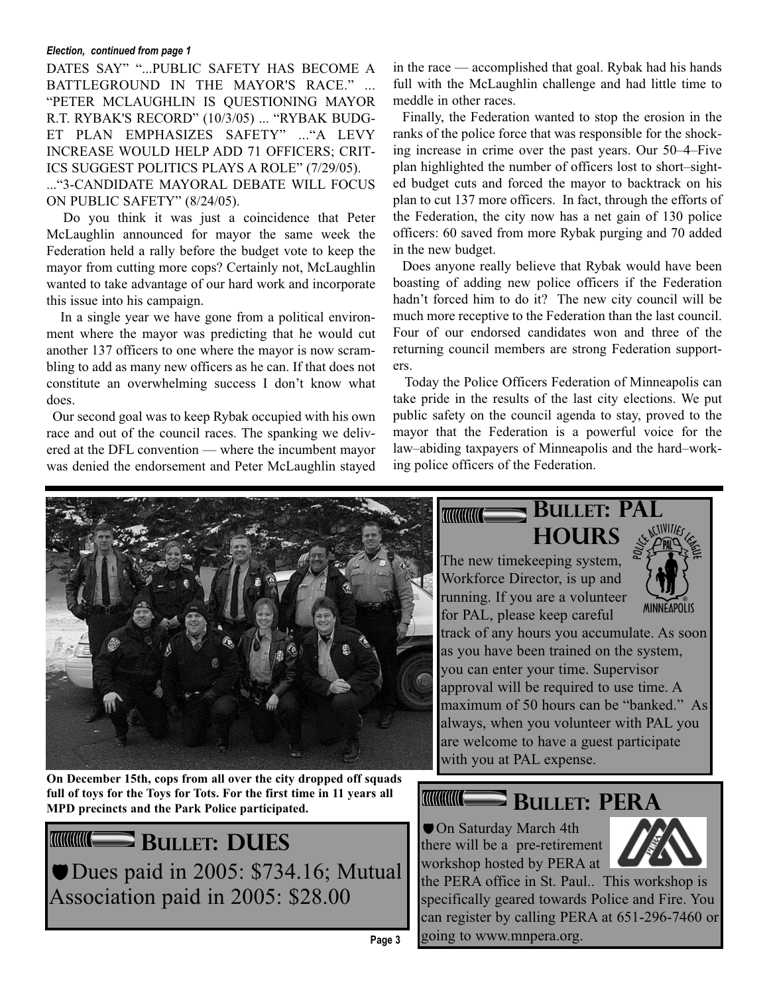#### *Election, continued from page 1*

DATES SAY" "...PUBLIC SAFETY HAS BECOME A BATTLEGROUND IN THE MAYOR'S RACE." ... "PETER MCLAUGHLIN IS QUESTIONING MAYOR R.T. RYBAK'S RECORD" (10/3/05) ... "RYBAK BUDG-ET PLAN EMPHASIZES SAFETY" ..."A LEVY INCREASE WOULD HELP ADD 71 OFFICERS; CRIT-ICS SUGGEST POLITICS PLAYS A ROLE" (7/29/05).

..."3-CANDIDATE MAYORAL DEBATE WILL FOCUS ON PUBLIC SAFETY" (8/24/05).

Do you think it was just a coincidence that Peter McLaughlin announced for mayor the same week the Federation held a rally before the budget vote to keep the mayor from cutting more cops? Certainly not, McLaughlin wanted to take advantage of our hard work and incorporate this issue into his campaign.

In a single year we have gone from a political environment where the mayor was predicting that he would cut another 137 officers to one where the mayor is now scrambling to add as many new officers as he can. If that does not constitute an overwhelming success I don't know what does.

Our second goal was to keep Rybak occupied with his own race and out of the council races. The spanking we delivered at the DFL convention — where the incumbent mayor was denied the endorsement and Peter McLaughlin stayed in the race — accomplished that goal. Rybak had his hands full with the McLaughlin challenge and had little time to meddle in other races.

Finally, the Federation wanted to stop the erosion in the ranks of the police force that was responsible for the shocking increase in crime over the past years. Our 50–4–Five plan highlighted the number of officers lost to short–sighted budget cuts and forced the mayor to backtrack on his plan to cut 137 more officers. In fact, through the efforts of the Federation, the city now has a net gain of 130 police officers: 60 saved from more Rybak purging and 70 added in the new budget.

Does anyone really believe that Rybak would have been boasting of adding new police officers if the Federation hadn't forced him to do it? The new city council will be much more receptive to the Federation than the last council. Four of our endorsed candidates won and three of the returning council members are strong Federation supporters.

Today the Police Officers Federation of Minneapolis can take pride in the results of the last city elections. We put public safety on the council agenda to stay, proved to the mayor that the Federation is a powerful voice for the law–abiding taxpayers of Minneapolis and the hard–working police officers of the Federation.



**On December 15th, cops from all over the city dropped off squads full of toys for the Toys for Tots. For the first time in 11 years all MPD precincts and the Park Police participated.** 

**BULLET: DUES** Dues paid in 2005: \$734.16; Mutual Association paid in 2005: \$28.00

# **BULLET: PAL**

**HOURS** The new timekeeping system, Workforce Director, is up and running. If you are a volunteer for PAL, please keep careful

**TITHING THE TELEVISION** 



track of any hours you accumulate. As soon as you have been trained on the system, you can enter your time. Supervisor approval will be required to use time. A maximum of 50 hours can be "banked." As always, when you volunteer with PAL you are welcome to have a guest participate with you at PAL expense.

#### **BULLET: PERA TITHING E**

On Saturday March 4th there will be a pre-retirement workshop hosted by PERA at



the PERA office in St. Paul.. This workshop is specifically geared towards Police and Fire. You can register by calling PERA at 651-296-7460 or going to www.mnpera.org. **Page 3**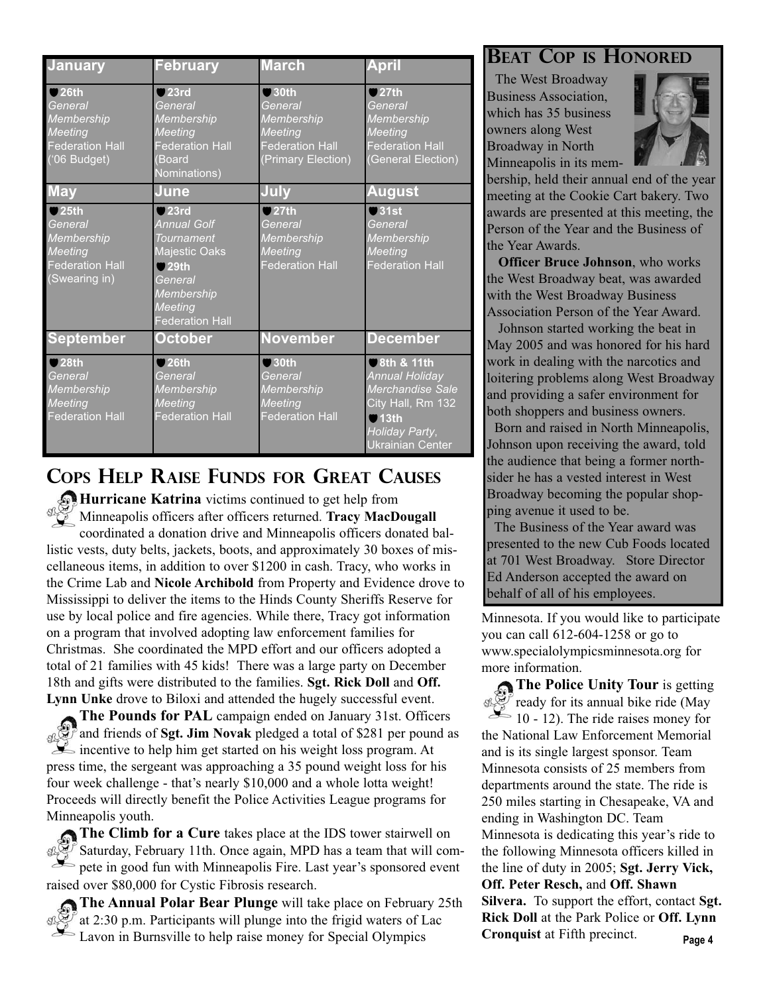| <b>January</b>                                                                              | <b>February</b>                                                                                                                                       | <b>March</b>                                                                                               | <b>April</b>                                                                                                                                     |
|---------------------------------------------------------------------------------------------|-------------------------------------------------------------------------------------------------------------------------------------------------------|------------------------------------------------------------------------------------------------------------|--------------------------------------------------------------------------------------------------------------------------------------------------|
| Q26th<br>General<br>Membership<br><b>Meeting</b><br><b>Federation Hall</b><br>$(06$ Budget) | $Q$ 23rd<br>General<br>Membership<br><b>Meeting</b><br><b>Federation Hall</b><br>(Board<br>Nominations)                                               | $\bigcirc$ 30th<br>General<br>Membership<br><b>Meeting</b><br><b>Federation Hall</b><br>(Primary Election) | Q27th<br>General<br>Membership<br><b>Meeting</b><br><b>Federation Hall</b><br>(General Election)                                                 |
| <b>May</b>                                                                                  | June                                                                                                                                                  | July                                                                                                       | <b>August</b>                                                                                                                                    |
| Q25th<br>General<br>Membership<br>Meeting<br><b>Federation Hall</b><br>(Swearing in)        | $Q$ 23rd<br><b>Annual Golf</b><br><b>Tournament</b><br>Majestic Oaks<br>$Q$ 29th<br>General<br>Membership<br><b>Meeting</b><br><b>Federation Hall</b> | Q27th<br>General<br>Membership<br>Meeting<br><b>Federation Hall</b>                                        | Q31st<br>General<br>Membership<br>Meeting<br><b>Federation Hall</b>                                                                              |
| <b>September</b>                                                                            | October                                                                                                                                               | <b>November</b>                                                                                            | <b>December</b>                                                                                                                                  |
| Q28th<br>General<br>Membership<br>Meeting<br><b>Federation Hall</b>                         | 926th<br>General<br>Membership<br>Meeting<br><b>Federation Hall</b>                                                                                   | Q30th<br>General<br>Membership<br><b>Meeting</b><br><b>Federation Hall</b>                                 | 8th & 11th<br><b>Annual Holiday</b><br>Merchandise Sale<br>City Hall, Rm 132<br>$\blacksquare$ 13th<br>Holiday Party,<br><b>Ukrainian Center</b> |

## **COPS HELP RAISE FUNDS FOR GREAT CAUSES**

**Hurricane Katrina** victims continued to get help from Minneapolis officers after officers returned. **Tracy MacDougall** coordinated a donation drive and Minneapolis officers donated ballistic vests, duty belts, jackets, boots, and approximately 30 boxes of miscellaneous items, in addition to over \$1200 in cash. Tracy, who works in the Crime Lab and **Nicole Archibold** from Property and Evidence drove to Mississippi to deliver the items to the Hinds County Sheriffs Reserve for use by local police and fire agencies. While there, Tracy got information on a program that involved adopting law enforcement families for Christmas. She coordinated the MPD effort and our officers adopted a total of 21 families with 45 kids! There was a large party on December 18th and gifts were distributed to the families. **Sgt. Rick Doll** and **Off. Lynn Unke** drove to Biloxi and attended the hugely successful event.

**The Pounds for PAL** campaign ended on January 31st. Officers **SASS** and friends of **Sgt. Jim Novak** pledged a total of \$281 per pound as incentive to help him get started on his weight loss program. At press time, the sergeant was approaching a 35 pound weight loss for his four week challenge - that's nearly \$10,000 and a whole lotta weight! Proceeds will directly benefit the Police Activities League programs for Minneapolis youth.

**The Climb for a Cure** takes place at the IDS tower stairwell on Saturday, February 11th. Once again, MPD has a team that will compete in good fun with Minneapolis Fire. Last year's sponsored event raised over \$80,000 for Cystic Fibrosis research.

**The Annual Polar Bear Plunge** will take place on February 25th at 2:30 p.m. Participants will plunge into the frigid waters of Lac Lavon in Burnsville to help raise money for Special Olympics

## **BEAT COP IS HONORED**

The West Broadway Business Association, which has 35 business owners along West Broadway in North Minneapolis in its mem-



bership, held their annual end of the year meeting at the Cookie Cart bakery. Two awards are presented at this meeting, the Person of the Year and the Business of the Year Awards.

**Officer Bruce Johnson**, who works the West Broadway beat, was awarded with the West Broadway Business Association Person of the Year Award.

Johnson started working the beat in May 2005 and was honored for his hard work in dealing with the narcotics and loitering problems along West Broadway and providing a safer environment for both shoppers and business owners.

Born and raised in North Minneapolis, Johnson upon receiving the award, told the audience that being a former northsider he has a vested interest in West Broadway becoming the popular shopping avenue it used to be.

The Business of the Year award was presented to the new Cub Foods located at 701 West Broadway. Store Director Ed Anderson accepted the award on behalf of all of his employees.

Minnesota. If you would like to participate you can call 612-604-1258 or go to www.specialolympicsminnesota.org for more information.

**The Police Unity Tour** is getting ready for its annual bike ride (May 10 - 12). The ride raises money for the National Law Enforcement Memorial and is its single largest sponsor. Team Minnesota consists of 25 members from departments around the state. The ride is 250 miles starting in Chesapeake, VA and ending in Washington DC. Team Minnesota is dedicating this year's ride to the following Minnesota officers killed in the line of duty in 2005; **Sgt. Jerry Vick, Off. Peter Resch,** and **Off. Shawn Silvera.** To support the effort, contact **Sgt. Rick Doll** at the Park Police or **Off. Lynn Cronquist** at Fifth precinct. **Page 4**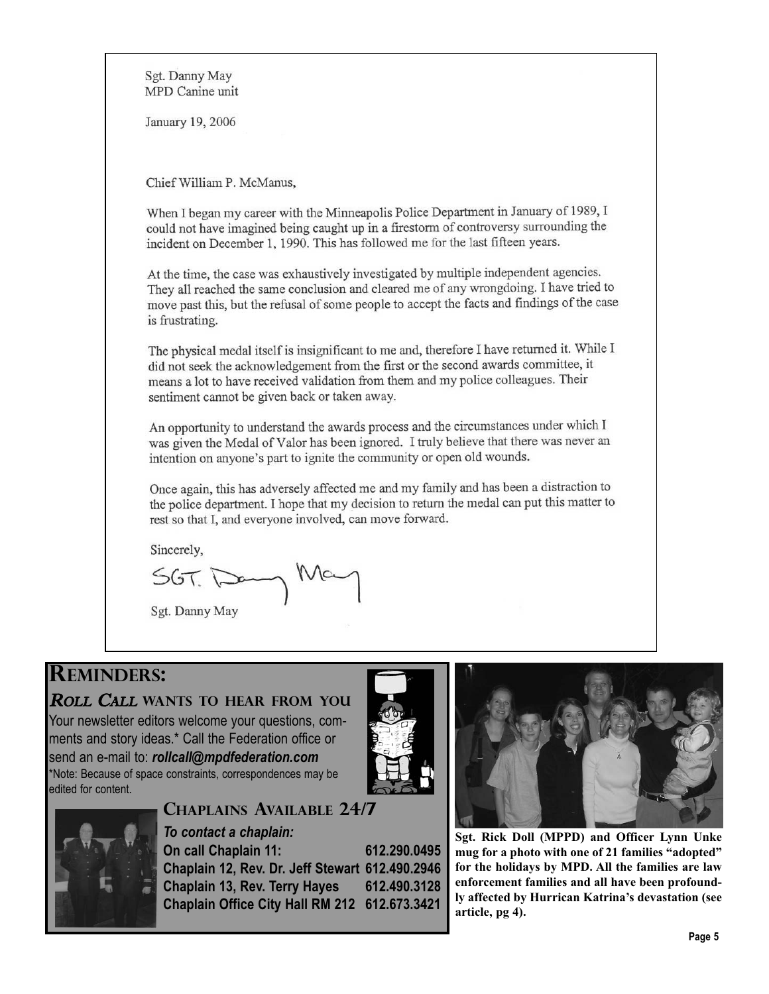Sgt. Danny May MPD Canine unit January 19, 2006 Chief William P. McManus, When I began my career with the Minneapolis Police Department in January of 1989, I could not have imagined being caught up in a firestorm of controversy surrounding the incident on December 1, 1990. This has followed me for the last fifteen years. At the time, the case was exhaustively investigated by multiple independent agencies. They all reached the same conclusion and cleared me of any wrongdoing. I have tried to move past this, but the refusal of some people to accept the facts and findings of the case is frustrating. The physical medal itself is insignificant to me and, therefore I have returned it. While I did not seek the acknowledgement from the first or the second awards committee, it means a lot to have received validation from them and my police colleagues. Their sentiment cannot be given back or taken away. An opportunity to understand the awards process and the circumstances under which I was given the Medal of Valor has been ignored. I truly believe that there was never an intention on anyone's part to ignite the community or open old wounds. Once again, this has adversely affected me and my family and has been a distraction to the police department. I hope that my decision to return the medal can put this matter to rest so that I, and everyone involved, can move forward. Sincerely,  $567.7$ Sgt. Danny May

## **REMINDERS:**

## ROLL CALL **WANTS TO HEAR FROM YOU**

Your newsletter editors welcome your questions, comments and story ideas.\* Call the Federation office or send an e-mail to: *rollcall@mpdfederation.com* \*Note: Because of space constraints, correspondences may be edited for content.



## **CHAPLAINS AVAILABLE 24/7**

*To contact a chaplain:* **On call Chaplain 11: 612.290.0495 Chaplain 12, Rev. Dr. Jeff Stewart 612.490.2946 Chaplain 13, Rev. Terry Hayes 612.490.3128 Chaplain Office City Hall RM 212 612.673.3421**



**Sgt. Rick Doll (MPPD) and Officer Lynn Unke mug for a photo with one of 21 families "adopted" for the holidays by MPD. All the families are law enforcement families and all have been profoundly affected by Hurrican Katrina's devastation (see article, pg 4).**